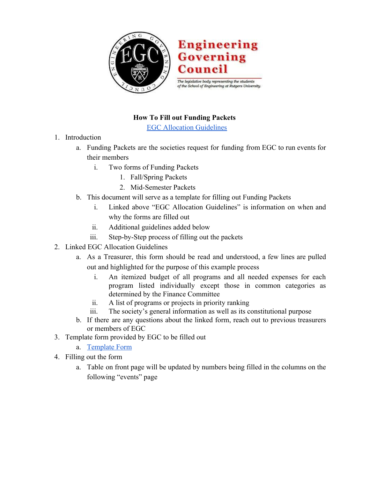

## **How To Fill out Funding Packets**

**[EGC Allocation Guidelines](https://docs.google.com/document/d/1cwqZYI5pZgPLeZG0twzQyXaN-X7bnt99Me3DhS72tyU/edit)** 

- 1. Introduction
	- a. Funding Packets are the societies request for funding from EGC to run events for their members
		- i. Two forms of Funding Packets
			- 1. Fall/Spring Packets
			- 2. Mid-Semester Packets
	- b. This document will serve as a template for filling out Funding Packets
		- i. Linked above "EGC Allocation Guidelines" is information on when and why the forms are filled out
		- ii. Additional guidelines added below
		- iii. Step-by-Step process of filling out the packets
- 2. Linked EGC Allocation Guidelines
	- a. As a Treasurer, this form should be read and understood, a few lines are pulled out and highlighted for the purpose of this example process
		- i. An itemized budget of all programs and all needed expenses for each program listed individually except those in common categories as determined by the Finance Committee
		- ii. A list of programs or projects in priority ranking
		- iii. The society's general information as well as its constitutional purpose
	- b. If there are any questions about the linked form, reach out to previous treasurers or members of EGC
- 3. Template form provided by EGC to be filled out
	- a. [Template Form](https://drive.google.com/open?id=1S7f3wRAB-Nri_H-gc7VnCKzt9UQHDpGWQ7wAu74VRpI)
- 4. Filling out the form
	- a. Table on front page will be updated by numbers being filled in the columns on the following "events" page